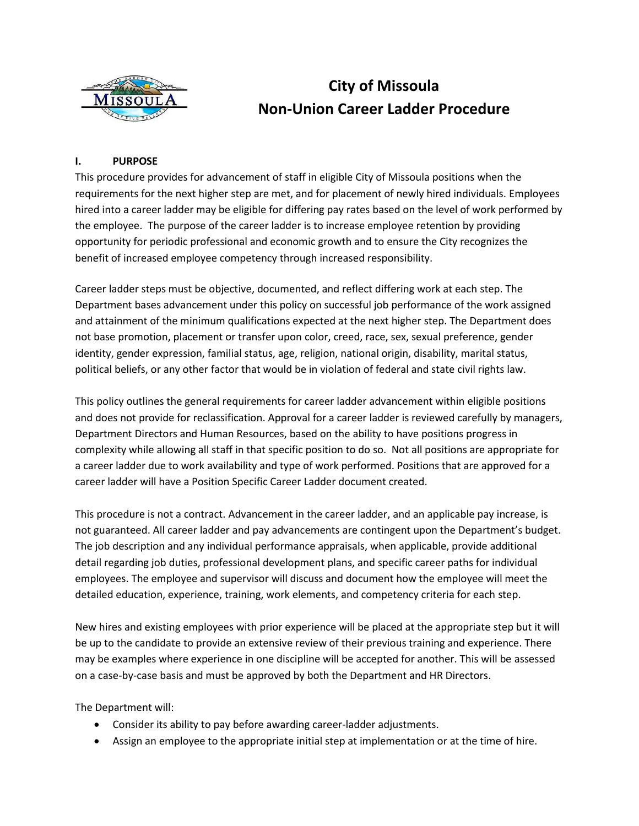

# **City of Missoula Non-Union Career Ladder Procedure**

# **I. PURPOSE**

This procedure provides for advancement of staff in eligible City of Missoula positions when the requirements for the next higher step are met, and for placement of newly hired individuals. Employees hired into a career ladder may be eligible for differing pay rates based on the level of work performed by the employee. The purpose of the career ladder is to increase employee retention by providing opportunity for periodic professional and economic growth and to ensure the City recognizes the benefit of increased employee competency through increased responsibility.

Career ladder steps must be objective, documented, and reflect differing work at each step. The Department bases advancement under this policy on successful job performance of the work assigned and attainment of the minimum qualifications expected at the next higher step. The Department does not base promotion, placement or transfer upon color, creed, race, sex, sexual preference, gender identity, gender expression, familial status, age, religion, national origin, disability, marital status, political beliefs, or any other factor that would be in violation of federal and state civil rights law.

This policy outlines the general requirements for career ladder advancement within eligible positions and does not provide for reclassification. Approval for a career ladder is reviewed carefully by managers, Department Directors and Human Resources, based on the ability to have positions progress in complexity while allowing all staff in that specific position to do so. Not all positions are appropriate for a career ladder due to work availability and type of work performed. Positions that are approved for a career ladder will have a Position Specific Career Ladder document created.

This procedure is not a contract. Advancement in the career ladder, and an applicable pay increase, is not guaranteed. All career ladder and pay advancements are contingent upon the Department's budget. The job description and any individual performance appraisals, when applicable, provide additional detail regarding job duties, professional development plans, and specific career paths for individual employees. The employee and supervisor will discuss and document how the employee will meet the detailed education, experience, training, work elements, and competency criteria for each step.

New hires and existing employees with prior experience will be placed at the appropriate step but it will be up to the candidate to provide an extensive review of their previous training and experience. There may be examples where experience in one discipline will be accepted for another. This will be assessed on a case-by-case basis and must be approved by both the Department and HR Directors.

The Department will:

- Consider its ability to pay before awarding career-ladder adjustments.
- Assign an employee to the appropriate initial step at implementation or at the time of hire.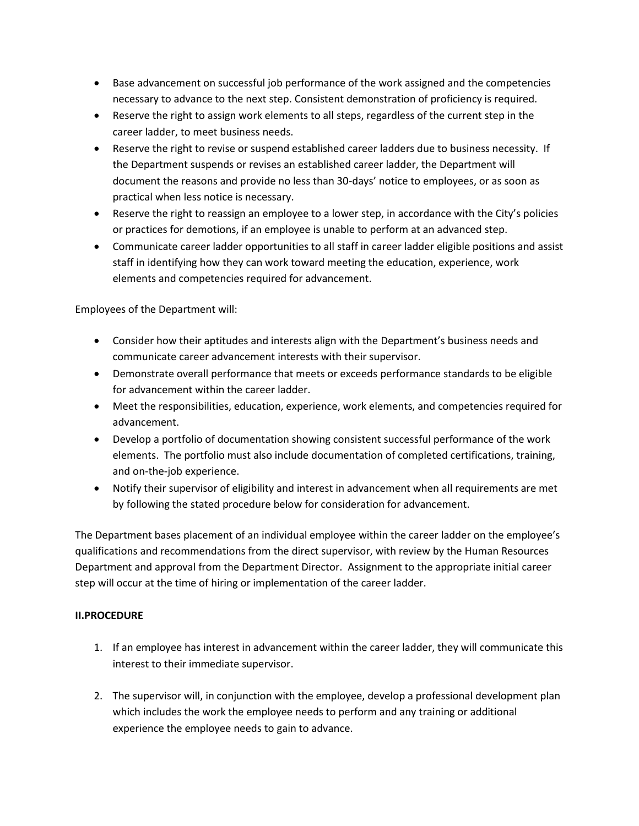- Base advancement on successful job performance of the work assigned and the competencies necessary to advance to the next step. Consistent demonstration of proficiency is required.
- Reserve the right to assign work elements to all steps, regardless of the current step in the career ladder, to meet business needs.
- Reserve the right to revise or suspend established career ladders due to business necessity. If the Department suspends or revises an established career ladder, the Department will document the reasons and provide no less than 30-days' notice to employees, or as soon as practical when less notice is necessary.
- Reserve the right to reassign an employee to a lower step, in accordance with the City's policies or practices for demotions, if an employee is unable to perform at an advanced step.
- Communicate career ladder opportunities to all staff in career ladder eligible positions and assist staff in identifying how they can work toward meeting the education, experience, work elements and competencies required for advancement.

Employees of the Department will:

- Consider how their aptitudes and interests align with the Department's business needs and communicate career advancement interests with their supervisor.
- Demonstrate overall performance that meets or exceeds performance standards to be eligible for advancement within the career ladder.
- Meet the responsibilities, education, experience, work elements, and competencies required for advancement.
- Develop a portfolio of documentation showing consistent successful performance of the work elements. The portfolio must also include documentation of completed certifications, training, and on-the-job experience.
- Notify their supervisor of eligibility and interest in advancement when all requirements are met by following the stated procedure below for consideration for advancement.

The Department bases placement of an individual employee within the career ladder on the employee's qualifications and recommendations from the direct supervisor, with review by the Human Resources Department and approval from the Department Director. Assignment to the appropriate initial career step will occur at the time of hiring or implementation of the career ladder.

# **II.PROCEDURE**

- 1. If an employee has interest in advancement within the career ladder, they will communicate this interest to their immediate supervisor.
- 2. The supervisor will, in conjunction with the employee, develop a professional development plan which includes the work the employee needs to perform and any training or additional experience the employee needs to gain to advance.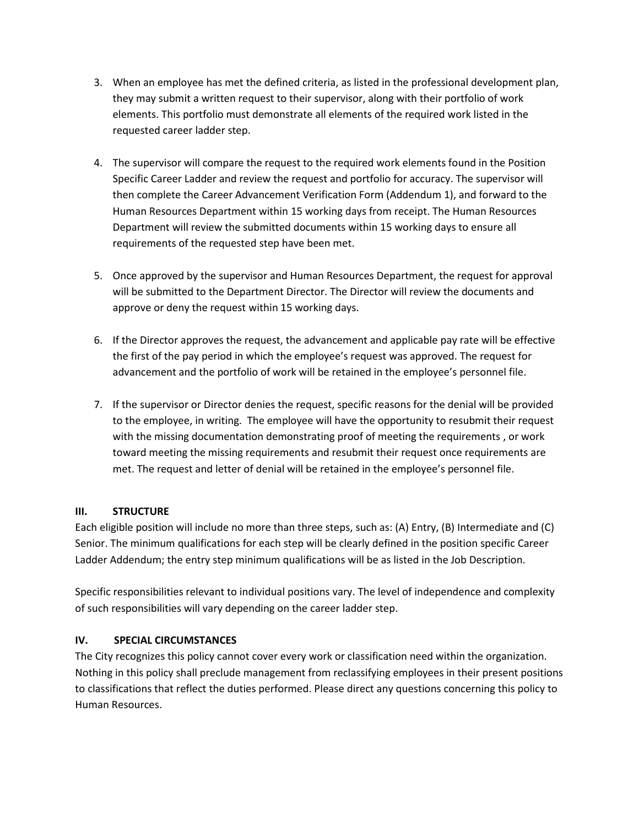- 3. When an employee has met the defined criteria, as listed in the professional development plan, they may submit a written request to their supervisor, along with their portfolio of work elements. This portfolio must demonstrate all elements of the required work listed in the requested career ladder step.
- 4. The supervisor will compare the request to the required work elements found in the Position Specific Career Ladder and review the request and portfolio for accuracy. The supervisor will then complete the Career Advancement Verification Form (Addendum 1), and forward to the Human Resources Department within 15 working days from receipt. The Human Resources Department will review the submitted documents within 15 working days to ensure all requirements of the requested step have been met.
- 5. Once approved by the supervisor and Human Resources Department, the request for approval will be submitted to the Department Director. The Director will review the documents and approve or deny the request within 15 working days.
- 6. If the Director approves the request, the advancement and applicable pay rate will be effective the first of the pay period in which the employee's request was approved. The request for advancement and the portfolio of work will be retained in the employee's personnel file.
- 7. If the supervisor or Director denies the request, specific reasons for the denial will be provided to the employee, in writing. The employee will have the opportunity to resubmit their request with the missing documentation demonstrating proof of meeting the requirements , or work toward meeting the missing requirements and resubmit their request once requirements are met. The request and letter of denial will be retained in the employee's personnel file.

# **III. STRUCTURE**

Each eligible position will include no more than three steps, such as: (A) Entry, (B) Intermediate and (C) Senior. The minimum qualifications for each step will be clearly defined in the position specific Career Ladder Addendum; the entry step minimum qualifications will be as listed in the Job Description.

Specific responsibilities relevant to individual positions vary. The level of independence and complexity of such responsibilities will vary depending on the career ladder step.

## **IV. SPECIAL CIRCUMSTANCES**

The City recognizes this policy cannot cover every work or classification need within the organization. Nothing in this policy shall preclude management from reclassifying employees in their present positions to classifications that reflect the duties performed. Please direct any questions concerning this policy to Human Resources.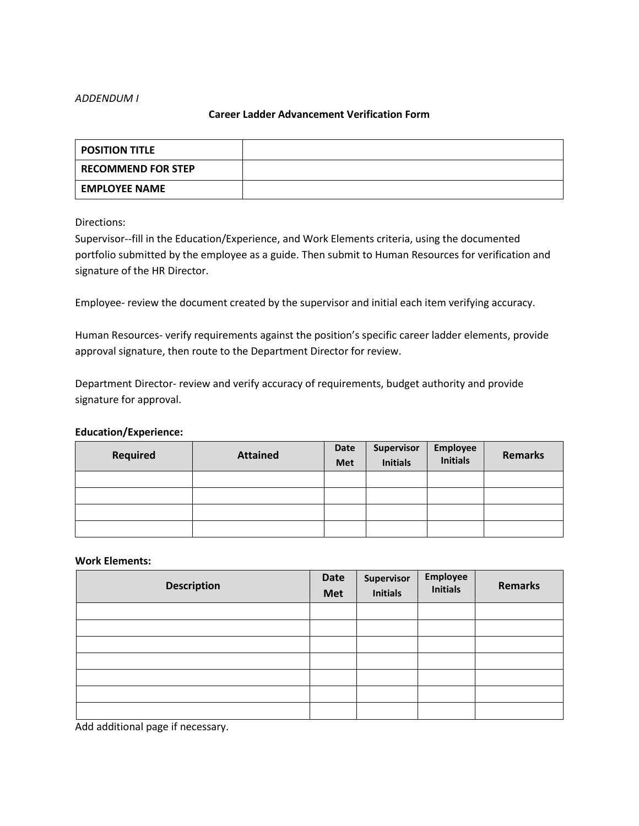### *ADDENDUM I*

## **Career Ladder Advancement Verification Form**

| POSITION TITLE            |  |
|---------------------------|--|
| <b>RECOMMEND FOR STEP</b> |  |
| <b>EMPLOYEE NAME</b>      |  |

Directions:

Supervisor--fill in the Education/Experience, and Work Elements criteria, using the documented portfolio submitted by the employee as a guide. Then submit to Human Resources for verification and signature of the HR Director.

Employee- review the document created by the supervisor and initial each item verifying accuracy.

Human Resources- verify requirements against the position's specific career ladder elements, provide approval signature, then route to the Department Director for review.

Department Director- review and verify accuracy of requirements, budget authority and provide signature for approval.

#### **Education/Experience:**

| <b>Required</b> | <b>Attained</b> | Date<br><b>Met</b> | Supervisor<br><b>Initials</b> | Employee<br>Initials | <b>Remarks</b> |
|-----------------|-----------------|--------------------|-------------------------------|----------------------|----------------|
|                 |                 |                    |                               |                      |                |
|                 |                 |                    |                               |                      |                |
|                 |                 |                    |                               |                      |                |
|                 |                 |                    |                               |                      |                |

#### **Work Elements:**

| <b>Description</b> | <b>Date</b><br><b>Met</b> | Supervisor<br>Initials | Employee<br>Initials | <b>Remarks</b> |
|--------------------|---------------------------|------------------------|----------------------|----------------|
|                    |                           |                        |                      |                |
|                    |                           |                        |                      |                |
|                    |                           |                        |                      |                |
|                    |                           |                        |                      |                |
|                    |                           |                        |                      |                |
|                    |                           |                        |                      |                |
|                    |                           |                        |                      |                |

Add additional page if necessary.